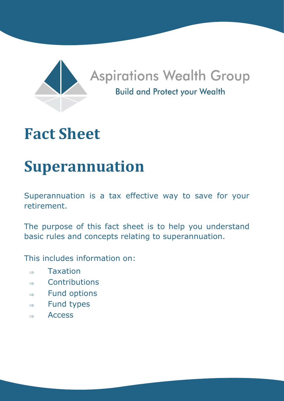

# **Fact Sheet**

# **Superannuation**

Superannuation is a tax effective way to save for your retirement.

The purpose of this fact sheet is to help you understand basic rules and concepts relating to superannuation.

This includes information on:

- $\Rightarrow$  Taxation
- $\Rightarrow$  Contributions
- $\Rightarrow$  Fund options
- $\Rightarrow$  Fund types
- $\Rightarrow$  Access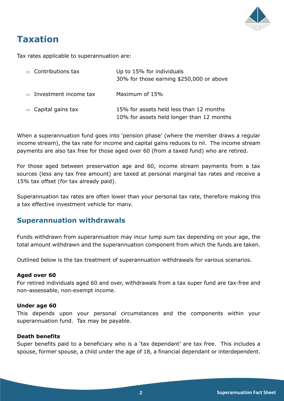

# **Taxation**

Tax rates applicable to superannuation are:

| $\Rightarrow$ Contributions tax     | Up to 15% for individuals<br>30% for those earning \$250,000 or above                |
|-------------------------------------|--------------------------------------------------------------------------------------|
| $\Rightarrow$ Investment income tax | Maximum of 15%                                                                       |
| $\Rightarrow$ Capital gains tax     | 15% for assets held less than 12 months<br>10% for assets held longer than 12 months |

When a superannuation fund goes into 'pension phase' (where the member draws a regular income stream), the tax rate for income and capital gains reduces to nil. The income stream payments are also tax free for those aged over 60 (from a taxed fund) who are retired.

For those aged between preservation age and 60, income stream payments from a tax sources (less any tax free amount) are taxed at personal marginal tax rates and receive a 15% tax offset (for tax already paid).

Superannuation tax rates are often lower than your personal tax rate, therefore making this a tax effective investment vehicle for many.

## **Superannuation withdrawals**

Funds withdrawn from superannuation may incur lump sum tax depending on your age, the total amount withdrawn and the superannuation component from which the funds are taken.

Outlined below is the tax treatment of superannuation withdrawals for various scenarios.

#### **Aged over 60**

For retired individuals aged 60 and over, withdrawals from a tax super fund are tax-free and non-assessable, non-exempt income.

#### **Under age 60**

This depends upon your personal circumstances and the components within your superannuation fund. Tax may be payable.

#### **Death benefits**

Super benefits paid to a beneficiary who is a 'tax dependant' are tax free. This includes a spouse, former spouse, a child under the age of 18, a financial dependant or interdependent.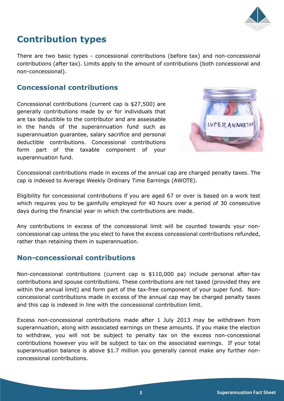

# **Contribution types**

There are two basic types - concessional contributions (before tax) and non-concessional contributions (after tax). Limits apply to the amount of contributions (both concessional and non-concessional).

# **Concessional contributions**

Concessional contributions (current cap is \$27,500) are generally contributions made by or for individuals that are tax deductible to the contributor and are assessable in the hands of the superannuation fund such as superannuation guarantee, salary sacrifice and personal deductible contributions. Concessional contributions form part of the taxable component of your superannuation fund.



Concessional contributions made in excess of the annual cap are charged penalty taxes. The cap is indexed to Average Weekly Ordinary Time Earnings (AWOTE).

Eligibility for concessional contributions if you are aged 67 or over is based on a work test which requires you to be gainfully employed for 40 hours over a period of 30 consecutive days during the financial year in which the contributions are made.

Any contributions in excess of the concessional limit will be counted towards your nonconcessional cap unless the you elect to have the excess concessional contributions refunded, rather than retaining them in superannuation.

## **Non-concessional contributions**

Non-concessional contributions (current cap is \$110,000 pa) include personal after-tax contributions and spouse contributions. These contributions are not taxed (provided they are within the annual limit) and form part of the tax-free component of your super fund. Nonconcessional contributions made in excess of the annual cap may be charged penalty taxes and this cap is indexed in line with the concessional contribution limit.

Excess non-concessional contributions made after 1 July 2013 may be withdrawn from superannuation, along with associated earnings on these amounts. If you make the election to withdraw, you will not be subject to penalty tax on the excess non-concessional contributions however you will be subject to tax on the associated earnings. If your total superannuation balance is above \$1.7 million you generally cannot make any further nonconcessional contributions.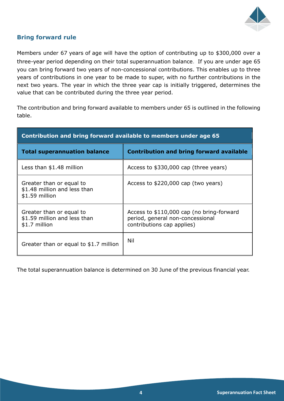

### **Bring forward rule**

Members under 67 years of age will have the option of contributing up to \$300,000 over a three-year period depending on their total superannuation balance. If you are under age 65 you can bring forward two years of non-concessional contributions. This enables up to three years of contributions in one year to be made to super, with no further contributions in the next two years. The year in which the three year cap is initially triggered, determines the value that can be contributed during the three year period.

The contribution and bring forward available to members under 65 is outlined in the following table.

| Contribution and bring forward available to members under age 65            |                                                                                                             |  |  |
|-----------------------------------------------------------------------------|-------------------------------------------------------------------------------------------------------------|--|--|
| <b>Total superannuation balance</b>                                         | <b>Contribution and bring forward available</b>                                                             |  |  |
| Less than \$1.48 million                                                    | Access to \$330,000 cap (three years)                                                                       |  |  |
| Greater than or equal to<br>\$1.48 million and less than<br>$$1.59$ million | Access to \$220,000 cap (two years)                                                                         |  |  |
| Greater than or equal to<br>\$1.59 million and less than<br>\$1.7 million   | Access to \$110,000 cap (no bring-forward<br>period, general non-concessional<br>contributions cap applies) |  |  |
| Greater than or equal to \$1.7 million                                      | Nil                                                                                                         |  |  |

The total superannuation balance is determined on 30 June of the previous financial year.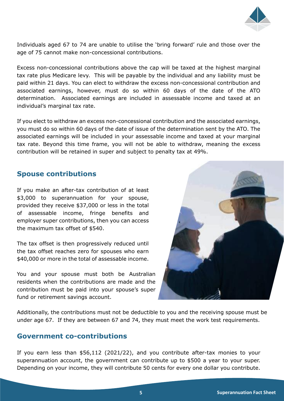

Individuals aged 67 to 74 are unable to utilise the 'bring forward' rule and those over the age of 75 cannot make non-concessional contributions.

Excess non-concessional contributions above the cap will be taxed at the highest marginal tax rate plus Medicare levy. This will be payable by the individual and any liability must be paid within 21 days. You can elect to withdraw the excess non-concessional contribution and associated earnings, however, must do so within 60 days of the date of the ATO determination. Associated earnings are included in assessable income and taxed at an individual's marginal tax rate.

If you elect to withdraw an excess non-concessional contribution and the associated earnings, you must do so within 60 days of the date of issue of the determination sent by the ATO. The associated earnings will be included in your assessable income and taxed at your marginal tax rate. Beyond this time frame, you will not be able to withdraw, meaning the excess contribution will be retained in super and subject to penalty tax at 49%.

### **Spouse contributions**

If you make an after-tax contribution of at least \$3,000 to superannuation for your spouse, provided they receive \$37,000 or less in the total of assessable income, fringe benefits and employer super contributions, then you can access the maximum tax offset of \$540.

The tax offset is then progressively reduced until the tax offset reaches zero for spouses who earn \$40,000 or more in the total of assessable income.

You and your spouse must both be Australian residents when the contributions are made and the contribution must be paid into your spouse's super fund or retirement savings account.



Additionally, the contributions must not be deductible to you and the receiving spouse must be under age 67. If they are between 67 and 74, they must meet the work test requirements.

#### **Government co-contributions**

If you earn less than \$56,112 (2021/22), and you contribute after-tax monies to your superannuation account, the government can contribute up to \$500 a year to your super. Depending on your income, they will contribute 50 cents for every one dollar you contribute.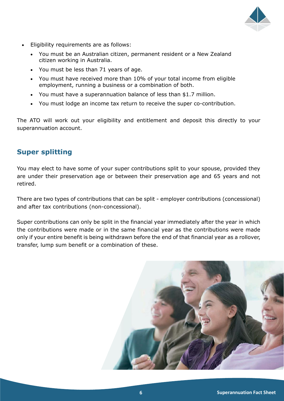

- Eligibility requirements are as follows:
	- You must be an Australian citizen, permanent resident or a New Zealand citizen working in Australia.
	- You must be less than 71 years of age.
	- You must have received more than 10% of your total income from eligible employment, running a business or a combination of both.
	- You must have a superannuation balance of less than \$1.7 million.
	- You must lodge an income tax return to receive the super co-contribution.

The ATO will work out your eligibility and entitlement and deposit this directly to your superannuation account.

# **Super splitting**

You may elect to have some of your super contributions split to your spouse, provided they are under their preservation age or between their preservation age and 65 years and not retired.

There are two types of contributions that can be split - employer contributions (concessional) and after tax contributions (non-concessional).

Super contributions can only be split in the financial year immediately after the year in which the contributions were made or in the same financial year as the contributions were made only if your entire benefit is being withdrawn before the end of that financial year as a rollover, transfer, lump sum benefit or a combination of these.

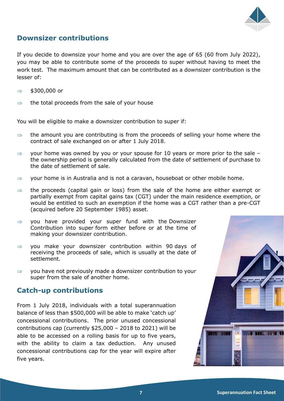

# **Downsizer contributions**

If you decide to downsize your home and you are over the age of 65 (60 from July 2022), you may be able to contribute some of the proceeds to super without having to meet the work test. The maximum amount that can be contributed as a downsizer contribution is the lesser of:

- $\Rightarrow$  \$300,000 or
- $\Rightarrow$  the total proceeds from the sale of your house

You will be eligible to make a downsizer contribution to super if:

- $\Rightarrow$  the amount you are contributing is from the proceeds of selling your home where the contract of sale exchanged on or after 1 July 2018.
- $\Rightarrow$  your home was owned by you or your spouse for 10 years or more prior to the sale the ownership period is generally calculated from the date of settlement of purchase to the date of settlement of sale.
- $\Rightarrow$  your home is in Australia and is not a caravan, houseboat or other mobile home.
- $\Rightarrow$  the proceeds (capital gain or loss) from the sale of the home are either exempt or partially exempt from capital gains tax (CGT) under the main residence exemption, or would be entitled to such an exemption if the home was a CGT rather than a pre-CGT (acquired before 20 September 1985) asset.
- $\Rightarrow$  you have provided your super fund with the Downsizer Contribution into super form either before or at the time of making your downsizer contribution.
- $\Rightarrow$  you make your downsizer contribution within 90 days of receiving the proceeds of sale, which is usually at the date of settlement.
- $\Rightarrow$  vou have not previously made a downsizer contribution to your super from the sale of another home.

## **Catch-up contributions**

From 1 July 2018, individuals with a total superannuation balance of less than \$500,000 will be able to make 'catch up' concessional contributions. The prior unused concessional contributions cap (currently \$25,000 – 2018 to 2021) will be able to be accessed on a rolling basis for up to five years, with the ability to claim a tax deduction. Any unused concessional contributions cap for the year will expire after five years.

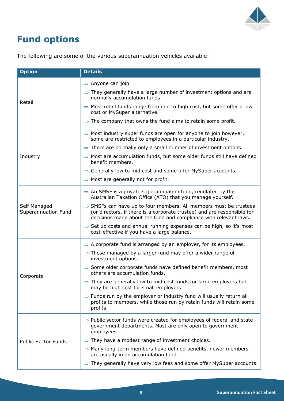

# **Fund options**

| <b>Option</b>                       | <b>Details</b>                                                                                                                                                                                                               |
|-------------------------------------|------------------------------------------------------------------------------------------------------------------------------------------------------------------------------------------------------------------------------|
|                                     | $\Rightarrow$ Anyone can join.                                                                                                                                                                                               |
|                                     | $\Rightarrow$ They generally have a large number of investment options and are<br>normally accumulation funds.                                                                                                               |
| Retail                              | $\Rightarrow$ Most retail funds range from mid to high cost, but some offer a low<br>cost or MySuper alternative.                                                                                                            |
|                                     | $\Rightarrow$ The company that owns the fund aims to retain some profit.                                                                                                                                                     |
|                                     | $\Rightarrow$ Most industry super funds are open for anyone to join however,<br>some are restricted to employees in a particular industry.                                                                                   |
|                                     | $\Rightarrow$ There are normally only a small number of investment options.                                                                                                                                                  |
| Industry                            | $\Rightarrow$ Most are accumulation funds, but some older funds still have defined<br>benefit members.                                                                                                                       |
|                                     | $\Rightarrow$ Generally low to mid cost and some offer MySuper accounts.                                                                                                                                                     |
|                                     | $\Rightarrow$ Most are generally not for profit.                                                                                                                                                                             |
|                                     | $\Rightarrow$ An SMSF is a private superannuation fund, regulated by the<br>Australian Taxation Office (ATO) that you manage yourself.                                                                                       |
| Self Managed<br>Superannuation Fund | $\Rightarrow$ SMSFs can have up to four members. All members must be trustees<br>(or directors, if there is a corporate trustee) and are responsible for<br>decisions made about the fund and compliance with relevant laws. |
|                                     | $\Rightarrow$ Set up costs and annual running expenses can be high, so it's most<br>cost-effective if you have a large balance.                                                                                              |
|                                     | $\Rightarrow$ A corporate fund is arranged by an employer, for its employees.                                                                                                                                                |
|                                     | $\Rightarrow$ Those managed by a larger fund may offer a wider range of<br>investment options.                                                                                                                               |
| Corporate                           | $\Rightarrow$ Some older corporate funds have defined benefit members, most<br>others are accumulation funds.                                                                                                                |
|                                     | $\Rightarrow$ They are generally low to mid cost funds for large employers but<br>may be high cost for small employers.                                                                                                      |
|                                     | $\Rightarrow$ Funds run by the employer or industry fund will usually return all<br>profits to members, while those run by retain funds will retain some<br>profits.                                                         |
|                                     | $\Rightarrow$ Public sector funds were created for employees of federal and state<br>government departments. Most are only open to government<br>employees.                                                                  |
| <b>Public Sector Funds</b>          | $\Rightarrow$ They have a modest range of investment choices.                                                                                                                                                                |
|                                     | $\Rightarrow$ Many long-term members have defined benefits, newer members<br>are usually in an accumulation fund.                                                                                                            |
|                                     | $\Rightarrow$ They generally have very low fees and some offer MySuper accounts.                                                                                                                                             |

The following are some of the various superannuation vehicles available: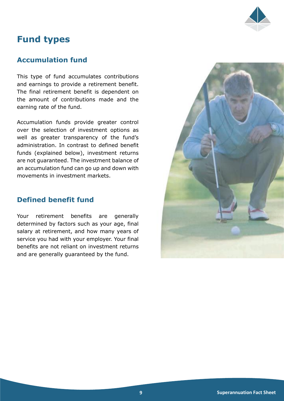

# **Fund types**

## **Accumulation fund**

This type of fund accumulates contributions and earnings to provide a retirement benefit. The final retirement benefit is dependent on the amount of contributions made and the earning rate of the fund.

Accumulation funds provide greater control over the selection of investment options as well as greater transparency of the fund's administration. In contrast to defined benefit funds (explained below), investment returns are not guaranteed. The investment balance of an accumulation fund can go up and down with movements in investment markets.

## **Defined benefit fund**

Your retirement benefits are generally determined by factors such as your age, final salary at retirement, and how many years of service you had with your employer. Your final benefits are not reliant on investment returns and are generally guaranteed by the fund.

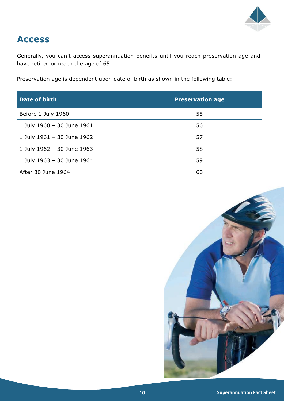

# **Access**

Generally, you can't access superannuation benefits until you reach preservation age and have retired or reach the age of 65.

Preservation age is dependent upon date of birth as shown in the following table:

| Date of birth              | <b>Preservation age</b> |
|----------------------------|-------------------------|
| Before 1 July 1960         | 55                      |
| 1 July 1960 - 30 June 1961 | 56                      |
| 1 July 1961 - 30 June 1962 | 57                      |
| 1 July 1962 - 30 June 1963 | 58                      |
| 1 July 1963 - 30 June 1964 | 59                      |
| After 30 June 1964         | 60                      |